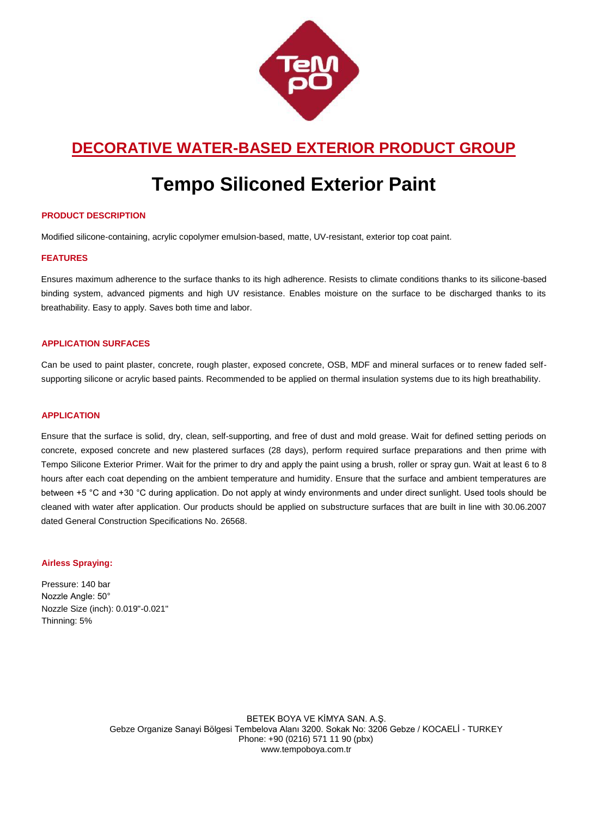

# **DECORATIVE WATER-BASED EXTERIOR PRODUCT GROUP**

# **Tempo Siliconed Exterior Paint**

# **PRODUCT DESCRIPTION**

Modified silicone-containing, acrylic copolymer emulsion-based, matte, UV-resistant, exterior top coat paint.

# **FEATURES**

Ensures maximum adherence to the surface thanks to its high adherence. Resists to climate conditions thanks to its silicone-based binding system, advanced pigments and high UV resistance. Enables moisture on the surface to be discharged thanks to its breathability. Easy to apply. Saves both time and labor.

# **APPLICATION SURFACES**

Can be used to paint plaster, concrete, rough plaster, exposed concrete, OSB, MDF and mineral surfaces or to renew faded selfsupporting silicone or acrylic based paints. Recommended to be applied on thermal insulation systems due to its high breathability.

#### **APPLICATION**

Ensure that the surface is solid, dry, clean, self-supporting, and free of dust and mold grease. Wait for defined setting periods on concrete, exposed concrete and new plastered surfaces (28 days), perform required surface preparations and then prime with Tempo Silicone Exterior Primer. Wait for the primer to dry and apply the paint using a brush, roller or spray gun. Wait at least 6 to 8 hours after each coat depending on the ambient temperature and humidity. Ensure that the surface and ambient temperatures are between +5 °C and +30 °C during application. Do not apply at windy environments and under direct sunlight. Used tools should be cleaned with water after application. Our products should be applied on substructure surfaces that are built in line with 30.06.2007 dated General Construction Specifications No. 26568.

#### **Airless Spraying:**

Pressure: 140 bar Nozzle Angle: 50° Nozzle Size (inch): 0.019"-0.021" Thinning: 5%

> BETEK BOYA VE KİMYA SAN. A.Ş. Gebze Organize Sanayi Bölgesi Tembelova Alanı 3200. Sokak No: 3206 Gebze / KOCAELİ - TURKEY Phone: +90 (0216) 571 11 90 (pbx) [www.tempoboya.com.tr](http://www.tempoboya.com.tr/)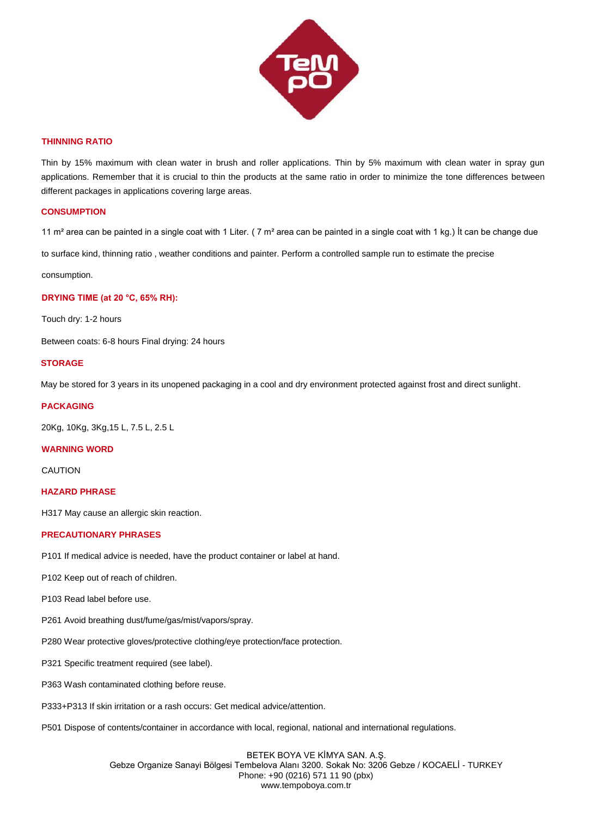

# **THINNING RATIO**

Thin by 15% maximum with clean water in brush and roller applications. Thin by 5% maximum with clean water in spray gun applications. Remember that it is crucial to thin the products at the same ratio in order to minimize the tone differences between different packages in applications covering large areas.

## **CONSUMPTION**

11 m<sup>2</sup> area can be painted in a single coat with 1 Liter. (7 m<sup>2</sup> area can be painted in a single coat with 1 kg.) It can be change due

to surface kind, thinning ratio , weather conditions and painter. Perform a controlled sample run to estimate the precise

consumption.

## **DRYING TIME (at 20 °C, 65% RH):**

Touch dry: 1-2 hours

Between coats: 6-8 hours Final drying: 24 hours

#### **STORAGE**

May be stored for 3 years in its unopened packaging in a cool and dry environment protected against frost and direct sunlight.

#### **PACKAGING**

20Kg, 10Kg, 3Kg,15 L, 7.5 L, 2.5 L

#### **WARNING WORD**

CAUTION

## **HAZARD PHRASE**

H317 May cause an allergic skin reaction.

#### **PRECAUTIONARY PHRASES**

- P101 If medical advice is needed, have the product container or label at hand.
- P102 Keep out of reach of children.
- P103 Read label before use.
- P261 Avoid breathing dust/fume/gas/mist/vapors/spray.
- P280 Wear protective gloves/protective clothing/eye protection/face protection.
- P321 Specific treatment required (see label).
- P363 Wash contaminated clothing before reuse.
- P333+P313 If skin irritation or a rash occurs: Get medical advice/attention.
- P501 Dispose of contents/container in accordance with local, regional, national and international regulations.

BETEK BOYA VE KİMYA SAN. A.Ş. Gebze Organize Sanayi Bölgesi Tembelova Alanı 3200. Sokak No: 3206 Gebze / KOCAELİ - TURKEY Phone: +90 (0216) 571 11 90 (pbx) [www.tempoboya.com.tr](http://www.tempoboya.com.tr/)